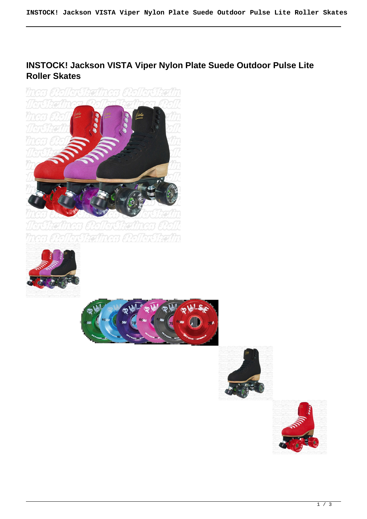# **INSTOCK! Jackson VISTA Viper Nylon Plate Suede Outdoor Pulse Lite Roller Skates**









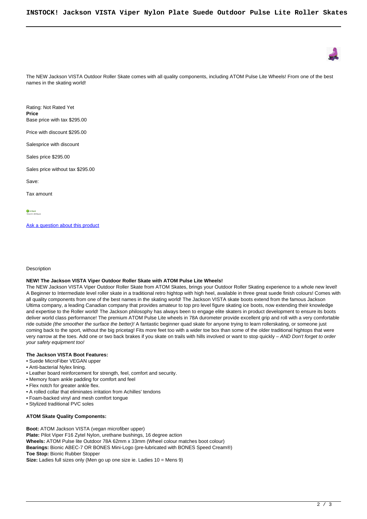

The NEW Jackson VISTA Outdoor Roller Skate comes with all quality components, including ATOM Pulse Lite Wheels! From one of the best names in the skating world!

Rating: Not Rated Yet **Price**  Base price with tax \$295.00

Price with discount \$295.00

Salesprice with discount

Sales price \$295.00

Sales price without tax \$295.00

Save:

Tax amount

In Stock<br>Shins In: 24 Hours

[Ask a question about this product](https://rollerskatin.ca/index.php?option=com_virtuemart&view=productdetails&task=askquestion&virtuemart_product_id=1144&virtuemart_category_id=28&tmpl=component)

**Description** 

## **NEW! The Jackson VISTA Viper Outdoor Roller Skate with ATOM Pulse Lite Wheels!**

The NEW Jackson VISTA Viper Outdoor Roller Skate from ATOM Skates, brings your Outdoor Roller Skating experience to a whole new level! A Beginner to Intermediate level roller skate in a traditional retro hightop with high heel, available in three great suede finish colours! Comes with all quality components from one of the best names in the skating world! The Jackson VISTA skate boots extend from the famous Jackson Ultima company, a leading Canadian company that provides amateur to top pro level figure skating ice boots, now extending their knowledge and expertise to the Roller world! The Jackson philosophy has always been to engage elite skaters in product development to ensure its boots deliver world class performance! The premium ATOM Pulse Lite wheels in 78A durometer provide excellent grip and roll with a very comfortable ride outside (the smoother the surface the better)! A fantastic beginner quad skate for anyone trying to learn rollerskating, or someone just coming back to the sport, without the big pricetag! Fits more feet too with a wider toe box than some of the older traditional hightops that were very narrow at the toes. Add one or two back brakes if you skate on trails with hills involved or want to stop quickly – AND Don't forget to order your safety equipment too!

### **The Jackson VISTA Boot Features:**

- Suede MicroFiber VEGAN upper
- Anti-bacterial Nylex lining.
- Leather board reinforcement for strength, feel, comfort and security.
- Memory foam ankle padding for comfort and feel
- Flex notch for greater ankle flex.
- A rolled collar that eliminates irritation from Achilles' tendons
- Foam-backed vinyl and mesh comfort tongue
- Stylized traditional PVC soles

#### **ATOM Skate Quality Components:**

**Boot:** ATOM Jackson VISTA (vegan microfiber upper) Plate: Pilot Viper F16 Zytel Nylon, urethane bushings, 16 degree action **Wheels:** ATOM Pulse lite Outdoor 78A 62mm x 33mm (Wheel colour matches boot colour) **Bearings:** Bionic ABEC-7 OR BONES Mini-Logo (pre-lubricated with BONES Speed Cream®) **Toe Stop:** Bionic Rubber Stopper **Size:** Ladies full sizes only (Men go up one size ie. Ladies 10 = Mens 9)